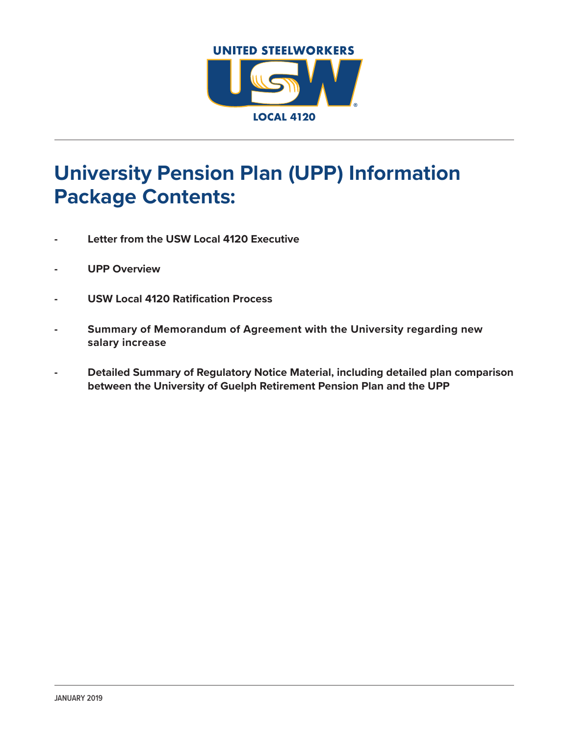

# **University Pension Plan (UPP) Information Package Contents:**

- **- Letter from the USW Local 4120 Executive**
- **- UPP Overview**
- **- USW Local 4120 Ratification Process**
- **- Summary of Memorandum of Agreement with the University regarding new salary increase**
- **- Detailed Summary of Regulatory Notice Material, including detailed plan comparison between the University of Guelph Retirement Pension Plan and the UPP**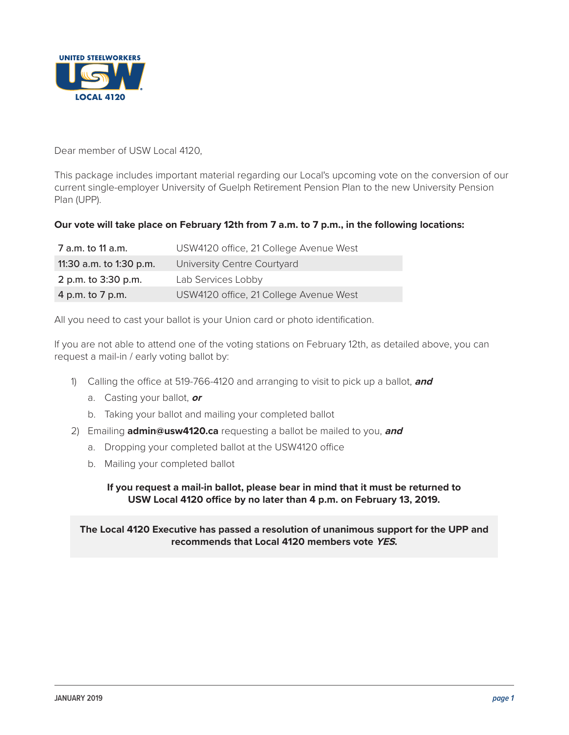

Dear member of USW Local 4120,

This package includes important material regarding our Local's upcoming vote on the conversion of our current single-employer University of Guelph Retirement Pension Plan to the new University Pension Plan (UPP).

# **Our vote will take place on February 12th from 7 a.m. to 7 p.m., in the following locations:**

| 7 a.m. to 11 a.m.       | USW4120 office, 21 College Avenue West |
|-------------------------|----------------------------------------|
| 11:30 a.m. to 1:30 p.m. | University Centre Courtyard            |
| 2 p.m. to 3:30 p.m.     | Lab Services Lobby                     |
| 4 p.m. to 7 p.m.        | USW4120 office, 21 College Avenue West |

All you need to cast your ballot is your Union card or photo identification.

If you are not able to attend one of the voting stations on February 12th, as detailed above, you can request a mail-in / early voting ballot by:

- 1) Calling the office at 519-766-4120 and arranging to visit to pick up a ballot, **and**
	- a. Casting your ballot, **or**
	- b. Taking your ballot and mailing your completed ballot
- 2) Emailing **[admin@usw4120.ca](mailto:admin@usw4120.ca)** requesting a ballot be mailed to you, **and**
	- a. Dropping your completed ballot at the USW4120 office
	- b. Mailing your completed ballot

**If you request a mail-in ballot, please bear in mind that it must be returned to USW Local 4120 office by no later than 4 p.m. on February 13, 2019.**

**The Local 4120 Executive has passed a resolution of unanimous support for the UPP and recommends that Local 4120 members vote YES.**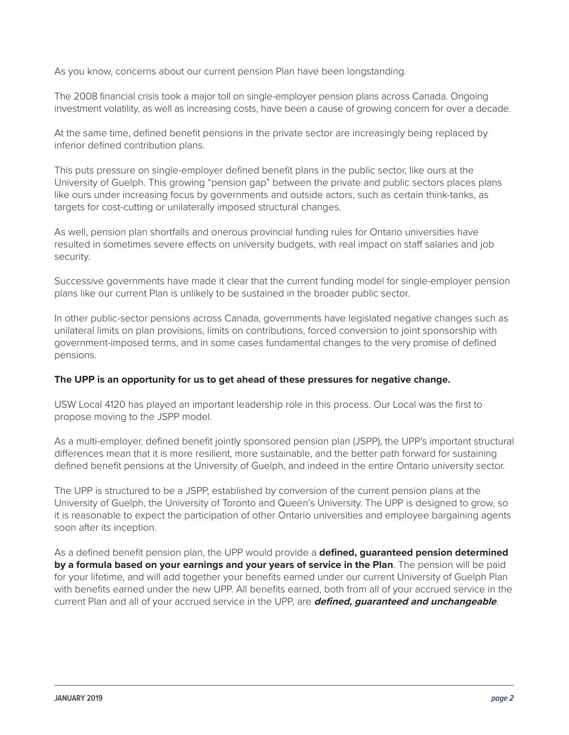As you know, concerns about our current pension Plan have been longstanding.

The 2008 financial crisis took a major toll on single-employer pension plans across Canada. Ongoing investment volatility, as well as increasing costs, have been a cause of growing concern for over a decade.

At the same time, defined benefit pensions in the private sector are increasingly being replaced by inferior defined contribution plans.

This puts pressure on single-employer defined benefit plans in the public sector, like ours at the University of Guelph. This growing "pension gap" between the private and public sectors places plans like ours under increasing focus by governments and outside actors, such as certain think-tanks, as targets for cost-cutting or unilaterally imposed structural changes.

As well, pension plan shortfalls and onerous provincial funding rules for Ontario universities have resulted in sometimes severe effects on university budgets, with real impact on staff salaries and job security.

Successive governments have made it clear that the current funding model for single-employer pension plans like our current Plan is unlikely to be sustained in the broader public sector.

In other public-sector pensions across Canada, governments have legislated negative changes such as unilateral limits on plan provisions, limits on contributions, forced conversion to joint sponsorship with government-imposed terms, and in some cases fundamental changes to the very promise of defined pensions.

# **The UPP is an opportunity for us to get ahead of these pressures for negative change.**

USW Local 4120 has played an important leadership role in this process. Our Local was the first to propose moving to the JSPP model.

As a multi-employer, defined benefit jointly sponsored pension plan (JSPP), the UPP's important structural differences mean that it is more resilient, more sustainable, and the better path forward for sustaining defined benefit pensions at the University of Guelph, and indeed in the entire Ontario university sector.

The UPP is structured to be a JSPP, established by conversion of the current pension plans at the University of Guelph, the University of Toronto and Queen's University. The UPP is designed to grow, so it is reasonable to expect the participation of other Ontario universities and employee bargaining agents soon after its inception.

As a defined benefit pension plan, the UPP would provide a **defined, guaranteed pension determined by a formula based on your earnings and your years of service in the Plan**. The pension will be paid for your lifetime, and will add together your benefits earned under our current University of Guelph Plan with benefits earned under the new UPP. All benefits earned, both from all of your accrued service in the current Plan and all of your accrued service in the UPP, are **defined, guaranteed and unchangeable**.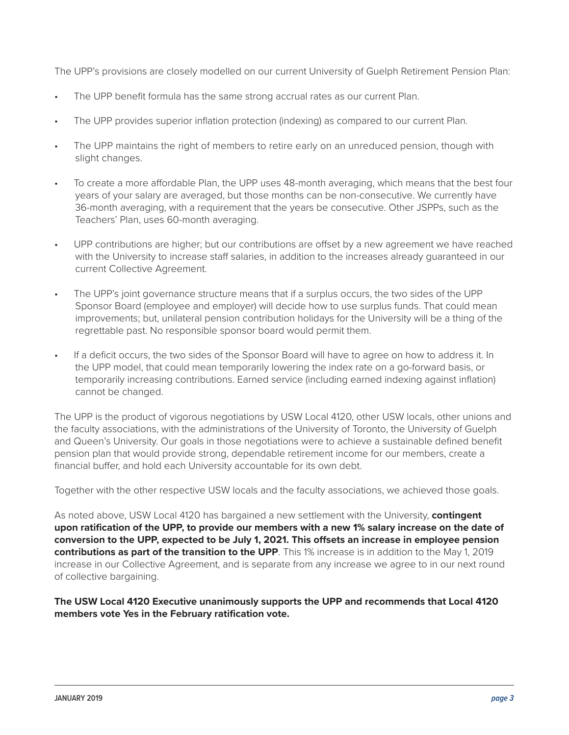The UPP's provisions are closely modelled on our current University of Guelph Retirement Pension Plan:

- The UPP benefit formula has the same strong accrual rates as our current Plan.
- The UPP provides superior inflation protection (indexing) as compared to our current Plan.
- The UPP maintains the right of members to retire early on an unreduced pension, though with slight changes.
- To create a more affordable Plan, the UPP uses 48-month averaging, which means that the best four years of your salary are averaged, but those months can be non-consecutive. We currently have 36-month averaging, with a requirement that the years be consecutive. Other JSPPs, such as the Teachers' Plan, uses 60-month averaging.
- UPP contributions are higher; but our contributions are offset by a new agreement we have reached with the University to increase staff salaries, in addition to the increases already guaranteed in our current Collective Agreement.
- The UPP's joint governance structure means that if a surplus occurs, the two sides of the UPP Sponsor Board (employee and employer) will decide how to use surplus funds. That could mean improvements; but, unilateral pension contribution holidays for the University will be a thing of the regrettable past. No responsible sponsor board would permit them.
- If a deficit occurs, the two sides of the Sponsor Board will have to agree on how to address it. In the UPP model, that could mean temporarily lowering the index rate on a go-forward basis, or temporarily increasing contributions. Earned service (including earned indexing against inflation) cannot be changed.

The UPP is the product of vigorous negotiations by USW Local 4120, other USW locals, other unions and the faculty associations, with the administrations of the University of Toronto, the University of Guelph and Queen's University. Our goals in those negotiations were to achieve a sustainable defined benefit pension plan that would provide strong, dependable retirement income for our members, create a financial buffer, and hold each University accountable for its own debt.

Together with the other respective USW locals and the faculty associations, we achieved those goals.

As noted above, USW Local 4120 has bargained a new settlement with the University, **contingent upon ratification of the UPP, to provide our members with a new 1% salary increase on the date of conversion to the UPP, expected to be July 1, 2021. This offsets an increase in employee pension contributions as part of the transition to the UPP**. This 1% increase is in addition to the May 1, 2019 increase in our Collective Agreement, and is separate from any increase we agree to in our next round of collective bargaining.

**The USW Local 4120 Executive unanimously supports the UPP and recommends that Local 4120 members vote Yes in the February ratification vote.**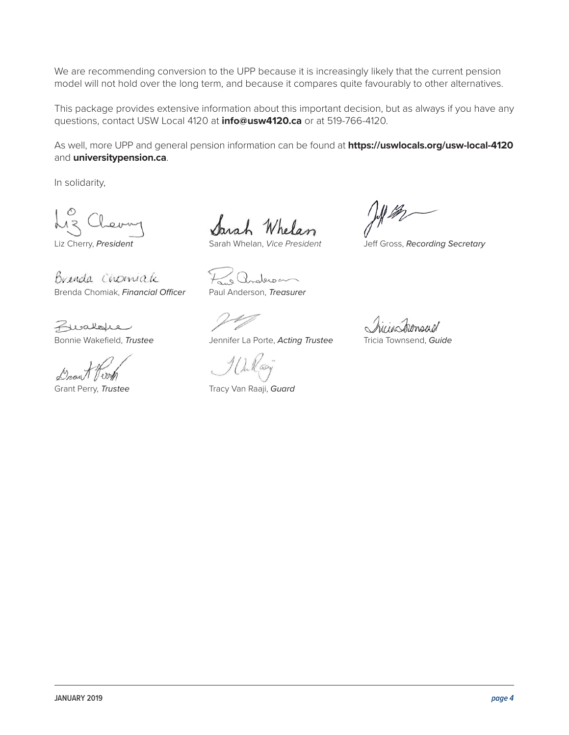We are recommending conversion to the UPP because it is increasingly likely that the current pension model will not hold over the long term, and because it compares quite favourably to other alternatives.

This package provides extensive information about this important decision, but as always if you have any questions, contact USW Local 4120 at **[info@usw4120.ca](mailto:info@usw4120.ca)** or at 519-766-4120.

As well, more UPP and general pension information can be found at **<https://uswlocals.org/usw-local-4120>** and **[universitypension.ca](http://universitypension.ca)**.

In solidarity,

Brenda Chomiale Brenda Chomiak, *Financial Officer* Paul Anderson, *Treasurer*

Buskope

Sarah Whelan

Liz Cherry, *President* Sarah Whelan, *Vice President* Jeff Gross, *Recording Secretary*

anderson

Bonnie Wakefield, *Trustee* Jennifer La Porte, *Acting Trustee* Tricia Townsend, *Guide*

Grant Perry, *Trustee* Tracy Van Raaji, *Guard* 

ponsul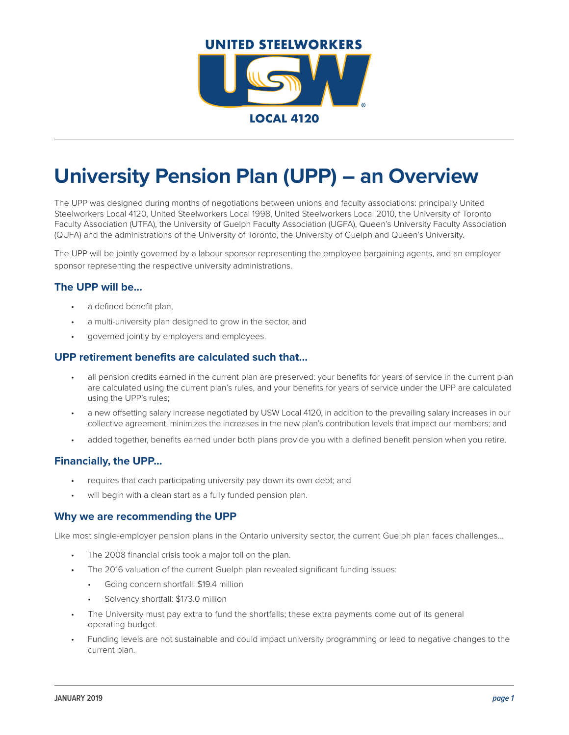

# **University Pension Plan (UPP) – an Overview**

The UPP was designed during months of negotiations between unions and faculty associations: principally United Steelworkers Local 4120, United Steelworkers Local 1998, United Steelworkers Local 2010, the University of Toronto Faculty Association (UTFA), the University of Guelph Faculty Association (UGFA), Queen's University Faculty Association (QUFA) and the administrations of the University of Toronto, the University of Guelph and Queen's University.

The UPP will be jointly governed by a labour sponsor representing the employee bargaining agents, and an employer sponsor representing the respective university administrations.

#### **The UPP will be...**

- a defined benefit plan.
- a multi-university plan designed to grow in the sector, and
- governed jointly by employers and employees.

#### **UPP retirement benefits are calculated such that...**

- all pension credits earned in the current plan are preserved: your benefits for years of service in the current plan are calculated using the current plan's rules, and your benefits for years of service under the UPP are calculated using the UPP's rules;
- a new offsetting salary increase negotiated by USW Local 4120, in addition to the prevailing salary increases in our collective agreement, minimizes the increases in the new plan's contribution levels that impact our members; and
- added together, benefits earned under both plans provide you with a defined benefit pension when you retire.

# **Financially, the UPP...**

- requires that each participating university pay down its own debt; and
- will begin with a clean start as a fully funded pension plan.

#### **Why we are recommending the UPP**

Like most single-employer pension plans in the Ontario university sector, the current Guelph plan faces challenges...

- The 2008 financial crisis took a major toll on the plan.
- The 2016 valuation of the current Guelph plan revealed significant funding issues:
	- Going concern shortfall: \$19.4 million
	- Solvency shortfall: \$173.0 million
- The University must pay extra to fund the shortfalls; these extra payments come out of its general operating budget.
- Funding levels are not sustainable and could impact university programming or lead to negative changes to the current plan.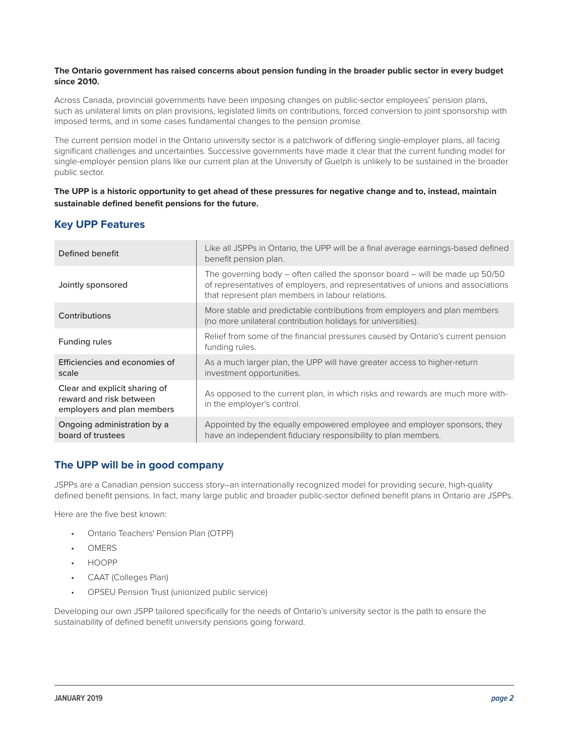#### **The Ontario government has raised concerns about pension funding in the broader public sector in every budget since 2010.**

Across Canada, provincial governments have been imposing changes on public-sector employees' pension plans, such as unilateral limits on plan provisions, legislated limits on contributions, forced conversion to joint sponsorship with imposed terms, and in some cases fundamental changes to the pension promise.

The current pension model in the Ontario university sector is a patchwork of differing single-employer plans, all facing significant challenges and uncertainties. Successive governments have made it clear that the current funding model for single-employer pension plans like our current plan at the University of Guelph is unlikely to be sustained in the broader public sector.

#### **The UPP is a historic opportunity to get ahead of these pressures for negative change and to, instead, maintain sustainable defined benefit pensions for the future.**

| Defined benefit                                                                        | Like all JSPPs in Ontario, the UPP will be a final average earnings-based defined<br>benefit pension plan.                                                                                                             |
|----------------------------------------------------------------------------------------|------------------------------------------------------------------------------------------------------------------------------------------------------------------------------------------------------------------------|
| Jointly sponsored                                                                      | The governing body $-$ often called the sponsor board $-$ will be made up 50/50<br>of representatives of employers, and representatives of unions and associations<br>that represent plan members in labour relations. |
| Contributions                                                                          | More stable and predictable contributions from employers and plan members<br>(no more unilateral contribution holidays for universities).                                                                              |
| Funding rules                                                                          | Relief from some of the financial pressures caused by Ontario's current pension<br>funding rules.                                                                                                                      |
| Efficiencies and economies of<br>scale                                                 | As a much larger plan, the UPP will have greater access to higher-return<br>investment opportunities.                                                                                                                  |
| Clear and explicit sharing of<br>reward and risk between<br>employers and plan members | As opposed to the current plan, in which risks and rewards are much more with-<br>in the employer's control.                                                                                                           |
| Ongoing administration by a<br>board of trustees                                       | Appointed by the equally empowered employee and employer sponsors, they<br>have an independent fiduciary responsibility to plan members.                                                                               |

# **Key UPP Features**

# **The UPP will be in good company**

JSPPs are a Canadian pension success story–an internationally recognized model for providing secure, high-quality defined benefit pensions. In fact, many large public and broader public-sector defined benefit plans in Ontario are JSPPs.

Here are the five best known:

- Ontario Teachers' Pension Plan (OTPP)
- OMERS
- HOOPP
- CAAT (Colleges Plan)
- OPSEU Pension Trust (unionized public service)

Developing our own JSPP tailored specifically for the needs of Ontario's university sector is the path to ensure the sustainability of defined benefit university pensions going forward.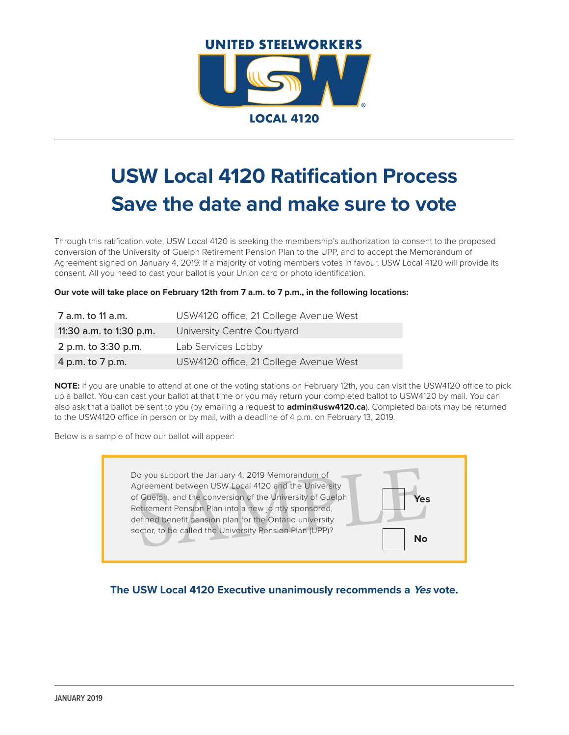

# **USW Local 4120 Ratification Process Save the date and make sure to vote**

Through this ratification vote, USW Local 4120 is seeking the membership's authorization to consent to the proposed conversion of the University of Guelph Retirement Pension Plan to the UPP, and to accept the Memorandum of Agreement signed on January 4, 2019. If a majority of voting members votes in favour, USW Local 4120 will provide its consent. All you need to cast your ballot is your Union card or photo identification.

**Our vote will take place on February 12th from 7 a.m. to 7 p.m., in the following locations:**

| 7 a.m. to 11 a.m.       | USW4120 office, 21 College Avenue West |
|-------------------------|----------------------------------------|
| 11:30 a.m. to 1:30 p.m. | University Centre Courtyard            |
| 2 p.m. to 3:30 p.m.     | Lab Services Lobby                     |
| 4 p.m. to 7 p.m.        | USW4120 office, 21 College Avenue West |

**NOTE:** If you are unable to attend at one of the voting stations on February 12th, you can visit the USW4120 office to pick up a ballot. You can cast your ballot at that time or you may return your completed ballot to USW4120 by mail. You can also ask that a ballot be sent to you (by emailing a request to **[admin@usw4120.ca](mailto:admin@usw4120.ca)**). Completed ballots may be returned to the USW4120 office in person or by mail, with a deadline of 4 p.m. on February 13, 2019.

Below is a sample of how our ballot will appear:

The University<br>
Superior the January 4, 2019 Memorandum of<br>
Suelph, and the conversion of the University<br>
of Guelph<br>
Superior Plan into a new jointly sponsored,<br>
Setimed benefit pension plan for the Ontario university<br>
ect Do you support the January 4, 2019 Memorandum of Agreement between USW Local 4120 and the University of Guelph, and the conversion of the University of Guelph Retirement Pension Plan into a new jointly sponsored, defined benefit pension plan for the Ontario university sector, to be called the University Pension Plan (UPP)? **Yes No**

**The USW Local 4120 Executive unanimously recommends a Yes vote.**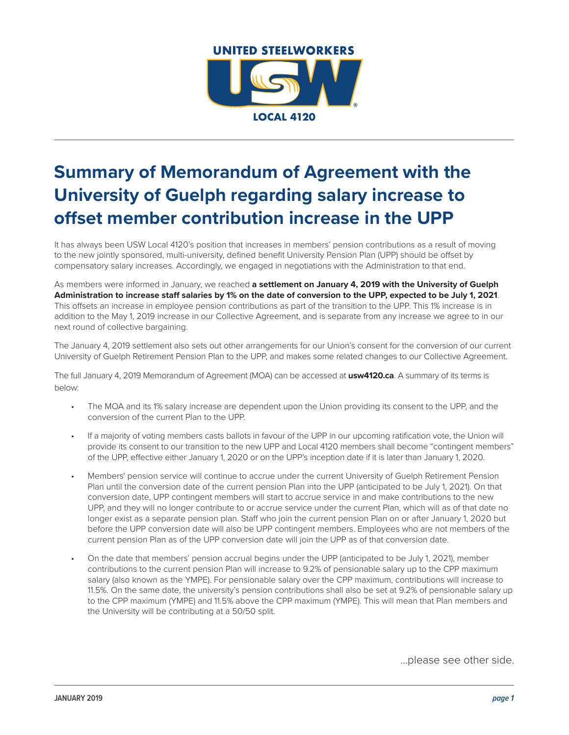

# **Summary of Memorandum of Agreement with the University of Guelph regarding salary increase to offset member contribution increase in the UPP**

It has always been USW Local 4120's position that increases in members' pension contributions as a result of moving to the new jointly sponsored, multi-university, defined benefit University Pension Plan (UPP) should be offset by compensatory salary increases. Accordingly, we engaged in negotiations with the Administration to that end.

As members were informed in January, we reached **a settlement on January 4, 2019 with the University of Guelph Administration to increase staff salaries by 1% on the date of conversion to the UPP, expected to be July 1, 2021**. This offsets an increase in employee pension contributions as part of the transition to the UPP. This 1% increase is in addition to the May 1, 2019 increase in our Collective Agreement, and is separate from any increase we agree to in our next round of collective bargaining.

The January 4, 2019 settlement also sets out other arrangements for our Union's consent for the conversion of our current University of Guelph Retirement Pension Plan to the UPP, and makes some related changes to our Collective Agreement.

The full January 4, 2019 Memorandum of Agreement (MOA) can be accessed at **[usw4120.ca](http://usw4120.ca)**. A summary of its terms is below:

- The MOA and its 1% salary increase are dependent upon the Union providing its consent to the UPP, and the conversion of the current Plan to the UPP.
- If a majority of voting members casts ballots in favour of the UPP in our upcoming ratification vote, the Union will provide its consent to our transition to the new UPP and Local 4120 members shall become "contingent members" of the UPP, effective either January 1, 2020 or on the UPP's inception date if it is later than January 1, 2020.
- Members' pension service will continue to accrue under the current University of Guelph Retirement Pension Plan until the conversion date of the current pension Plan into the UPP (anticipated to be July 1, 2021). On that conversion date, UPP contingent members will start to accrue service in and make contributions to the new UPP, and they will no longer contribute to or accrue service under the current Plan, which will as of that date no longer exist as a separate pension plan. Staff who join the current pension Plan on or after January 1, 2020 but before the UPP conversion date will also be UPP contingent members. Employees who are not members of the current pension Plan as of the UPP conversion date will join the UPP as of that conversion date.
- On the date that members' pension accrual begins under the UPP (anticipated to be July 1, 2021), member contributions to the current pension Plan will increase to 9.2% of pensionable salary up to the CPP maximum salary (also known as the YMPE). For pensionable salary over the CPP maximum, contributions will increase to 11.5%. On the same date, the university's pension contributions shall also be set at 9.2% of pensionable salary up to the CPP maximum (YMPE) and 11.5% above the CPP maximum (YMPE). This will mean that Plan members and the University will be contributing at a 50/50 split.

...please see other side.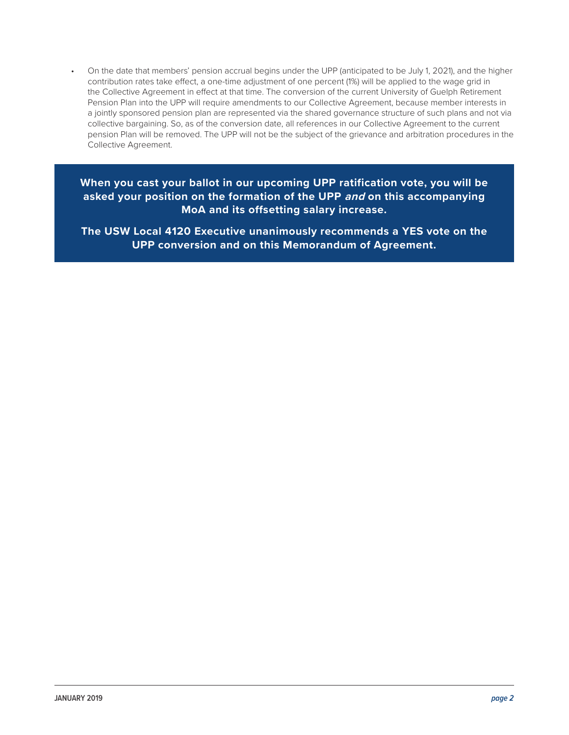• On the date that members' pension accrual begins under the UPP (anticipated to be July 1, 2021), and the higher contribution rates take effect, a one-time adjustment of one percent (1%) will be applied to the wage grid in the Collective Agreement in effect at that time. The conversion of the current University of Guelph Retirement Pension Plan into the UPP will require amendments to our Collective Agreement, because member interests in a jointly sponsored pension plan are represented via the shared governance structure of such plans and not via collective bargaining. So, as of the conversion date, all references in our Collective Agreement to the current pension Plan will be removed. The UPP will not be the subject of the grievance and arbitration procedures in the Collective Agreement.

**When you cast your ballot in our upcoming UPP ratification vote, you will be asked your position on the formation of the UPP and on this accompanying MoA and its offsetting salary increase.**

**The USW Local 4120 Executive unanimously recommends a YES vote on the UPP conversion and on this Memorandum of Agreement.**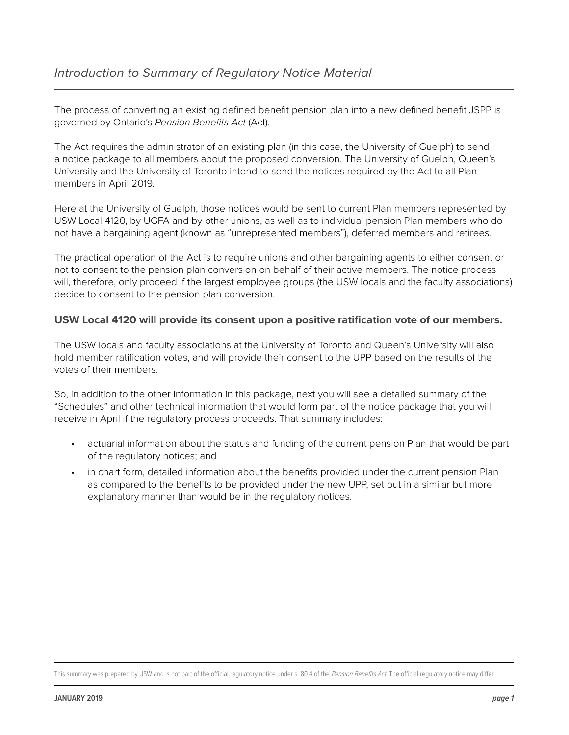The process of converting an existing defined benefit pension plan into a new defined benefit JSPP is governed by Ontario's *Pension Benefits Act* (Act).

The Act requires the administrator of an existing plan (in this case, the University of Guelph) to send a notice package to all members about the proposed conversion. The University of Guelph, Queen's University and the University of Toronto intend to send the notices required by the Act to all Plan members in April 2019.

Here at the University of Guelph, those notices would be sent to current Plan members represented by USW Local 4120, by UGFA and by other unions, as well as to individual pension Plan members who do not have a bargaining agent (known as "unrepresented members"), deferred members and retirees.

The practical operation of the Act is to require unions and other bargaining agents to either consent or not to consent to the pension plan conversion on behalf of their active members. The notice process will, therefore, only proceed if the largest employee groups (the USW locals and the faculty associations) decide to consent to the pension plan conversion.

# **USW Local 4120 will provide its consent upon a positive ratification vote of our members.**

The USW locals and faculty associations at the University of Toronto and Queen's University will also hold member ratification votes, and will provide their consent to the UPP based on the results of the votes of their members.

So, in addition to the other information in this package, next you will see a detailed summary of the "Schedules" and other technical information that would form part of the notice package that you will receive in April if the regulatory process proceeds. That summary includes:

- actuarial information about the status and funding of the current pension Plan that would be part of the regulatory notices; and
- in chart form, detailed information about the benefits provided under the current pension Plan as compared to the benefits to be provided under the new UPP, set out in a similar but more explanatory manner than would be in the regulatory notices.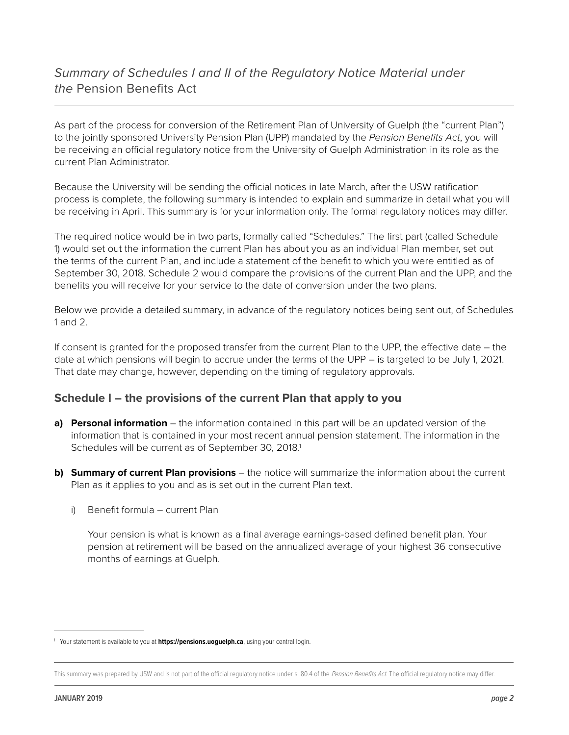# *Summary of Schedules I and II of the Regulatory Notice Material under the* Pension Benefits Act

As part of the process for conversion of the Retirement Plan of University of Guelph (the "current Plan") to the jointly sponsored University Pension Plan (UPP) mandated by the *Pension Benefits Act*, you will be receiving an official regulatory notice from the University of Guelph Administration in its role as the current Plan Administrator.

Because the University will be sending the official notices in late March, after the USW ratification process is complete, the following summary is intended to explain and summarize in detail what you will be receiving in April. This summary is for your information only. The formal regulatory notices may differ.

The required notice would be in two parts, formally called "Schedules." The first part (called Schedule 1) would set out the information the current Plan has about you as an individual Plan member, set out the terms of the current Plan, and include a statement of the benefit to which you were entitled as of September 30, 2018. Schedule 2 would compare the provisions of the current Plan and the UPP, and the benefits you will receive for your service to the date of conversion under the two plans.

Below we provide a detailed summary, in advance of the regulatory notices being sent out, of Schedules 1 and 2.

If consent is granted for the proposed transfer from the current Plan to the UPP, the effective date – the date at which pensions will begin to accrue under the terms of the UPP – is targeted to be July 1, 2021. That date may change, however, depending on the timing of regulatory approvals.

# **Schedule I – the provisions of the current Plan that apply to you**

- **a) Personal information** the information contained in this part will be an updated version of the information that is contained in your most recent annual pension statement. The information in the Schedules will be current as of September 30, 2018.<sup>1</sup>
- **b) Summary of current Plan provisions** the notice will summarize the information about the current Plan as it applies to you and as is set out in the current Plan text.
	- i) Benefit formula current Plan

Your pension is what is known as a final average earnings-based defined benefit plan. Your pension at retirement will be based on the annualized average of your highest 36 consecutive months of earnings at Guelph.

<sup>1</sup> Your statement is available to you at **<https://pensions.uoguelph.ca>**, using your central login.

This summary was prepared by USW and is not part of the official regulatory notice under s. 80.4 of the Pension Benefits Act. The official regulatory notice may differ.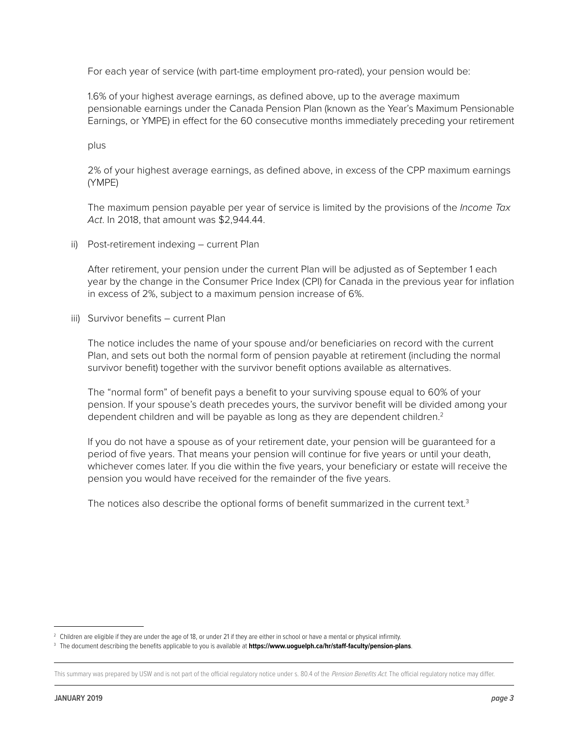For each year of service (with part-time employment pro-rated), your pension would be:

1.6% of your highest average earnings, as defined above, up to the average maximum pensionable earnings under the Canada Pension Plan (known as the Year's Maximum Pensionable Earnings, or YMPE) in effect for the 60 consecutive months immediately preceding your retirement

plus

2% of your highest average earnings, as defined above, in excess of the CPP maximum earnings (YMPE)

The maximum pension payable per year of service is limited by the provisions of the *Income Tax Act*. In 2018, that amount was \$2,944.44.

ii) Post-retirement indexing – current Plan

After retirement, your pension under the current Plan will be adjusted as of September 1 each year by the change in the Consumer Price Index (CPI) for Canada in the previous year for inflation in excess of 2%, subject to a maximum pension increase of 6%.

iii) Survivor benefits – current Plan

The notice includes the name of your spouse and/or beneficiaries on record with the current Plan, and sets out both the normal form of pension payable at retirement (including the normal survivor benefit) together with the survivor benefit options available as alternatives.

The "normal form" of benefit pays a benefit to your surviving spouse equal to 60% of your pension. If your spouse's death precedes yours, the survivor benefit will be divided among your dependent children and will be payable as long as they are dependent children.<sup>2</sup>

If you do not have a spouse as of your retirement date, your pension will be guaranteed for a period of five years. That means your pension will continue for five years or until your death, whichever comes later. If you die within the five years, your beneficiary or estate will receive the pension you would have received for the remainder of the five years.

The notices also describe the optional forms of benefit summarized in the current text.<sup>3</sup>

<sup>&</sup>lt;sup>2</sup> Children are eligible if they are under the age of 18, or under 21 if they are either in school or have a mental or physical infirmity.

<sup>3</sup> The document describing the benefits applicable to you is available at **<https://www.uoguelph.ca/hr/staff-faculty/pension-plans>**.

This summary was prepared by USW and is not part of the official regulatory notice under s. 80.4 of the Pension Benefits Act. The official regulatory notice may differ.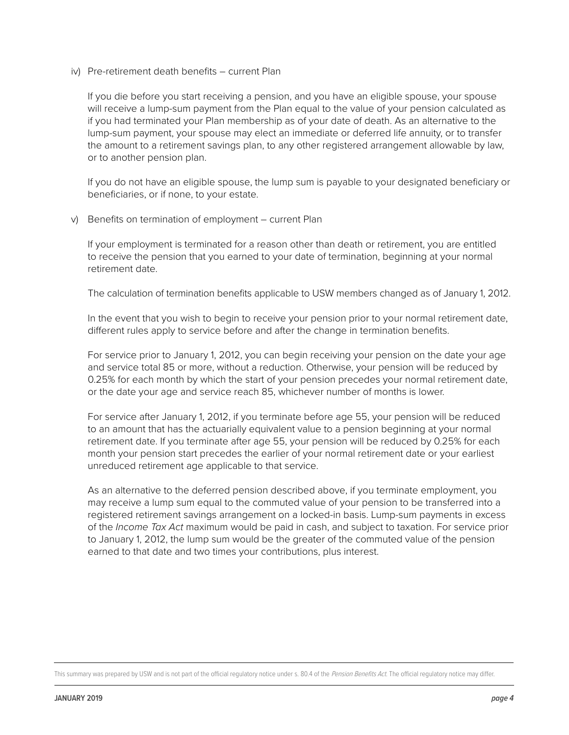iv) Pre-retirement death benefits – current Plan

If you die before you start receiving a pension, and you have an eligible spouse, your spouse will receive a lump-sum payment from the Plan equal to the value of your pension calculated as if you had terminated your Plan membership as of your date of death. As an alternative to the lump-sum payment, your spouse may elect an immediate or deferred life annuity, or to transfer the amount to a retirement savings plan, to any other registered arrangement allowable by law, or to another pension plan.

If you do not have an eligible spouse, the lump sum is payable to your designated beneficiary or beneficiaries, or if none, to your estate.

v) Benefits on termination of employment – current Plan

If your employment is terminated for a reason other than death or retirement, you are entitled to receive the pension that you earned to your date of termination, beginning at your normal retirement date.

The calculation of termination benefits applicable to USW members changed as of January 1, 2012.

In the event that you wish to begin to receive your pension prior to your normal retirement date, different rules apply to service before and after the change in termination benefits.

For service prior to January 1, 2012, you can begin receiving your pension on the date your age and service total 85 or more, without a reduction. Otherwise, your pension will be reduced by 0.25% for each month by which the start of your pension precedes your normal retirement date, or the date your age and service reach 85, whichever number of months is lower.

For service after January 1, 2012, if you terminate before age 55, your pension will be reduced to an amount that has the actuarially equivalent value to a pension beginning at your normal retirement date. If you terminate after age 55, your pension will be reduced by 0.25% for each month your pension start precedes the earlier of your normal retirement date or your earliest unreduced retirement age applicable to that service.

As an alternative to the deferred pension described above, if you terminate employment, you may receive a lump sum equal to the commuted value of your pension to be transferred into a registered retirement savings arrangement on a locked-in basis. Lump-sum payments in excess of the *Income Tax Act* maximum would be paid in cash, and subject to taxation. For service prior to January 1, 2012, the lump sum would be the greater of the commuted value of the pension earned to that date and two times your contributions, plus interest.

This summary was prepared by USW and is not part of the official regulatory notice under s. 80.4 of the Pension Benefits Act. The official regulatory notice may differ.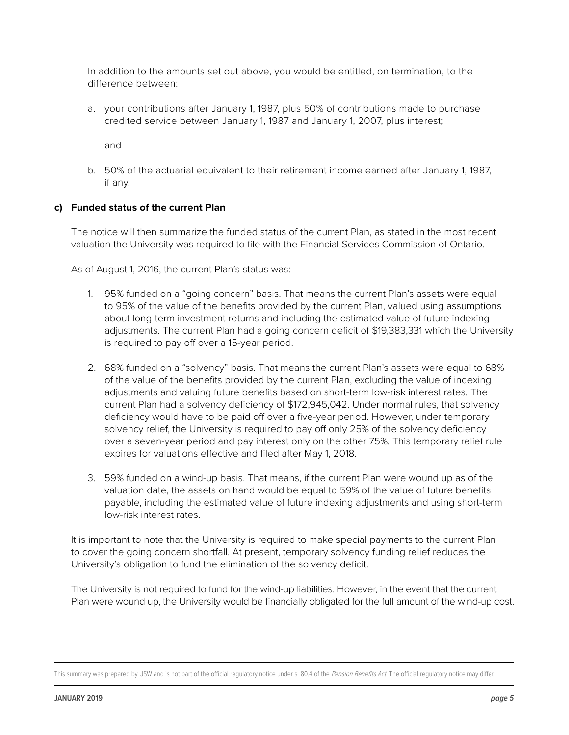In addition to the amounts set out above, you would be entitled, on termination, to the difference between:

a. your contributions after January 1, 1987, plus 50% of contributions made to purchase credited service between January 1, 1987 and January 1, 2007, plus interest;

and

b. 50% of the actuarial equivalent to their retirement income earned after January 1, 1987, if any.

# **c) Funded status of the current Plan**

The notice will then summarize the funded status of the current Plan, as stated in the most recent valuation the University was required to file with the Financial Services Commission of Ontario.

As of August 1, 2016, the current Plan's status was:

- 1. 95% funded on a "going concern" basis. That means the current Plan's assets were equal to 95% of the value of the benefits provided by the current Plan, valued using assumptions about long-term investment returns and including the estimated value of future indexing adjustments. The current Plan had a going concern deficit of \$19,383,331 which the University is required to pay off over a 15-year period.
- 2. 68% funded on a "solvency" basis. That means the current Plan's assets were equal to 68% of the value of the benefits provided by the current Plan, excluding the value of indexing adjustments and valuing future benefits based on short-term low-risk interest rates. The current Plan had a solvency deficiency of \$172,945,042. Under normal rules, that solvency deficiency would have to be paid off over a five-year period. However, under temporary solvency relief, the University is required to pay off only 25% of the solvency deficiency over a seven-year period and pay interest only on the other 75%. This temporary relief rule expires for valuations effective and filed after May 1, 2018.
- 3. 59% funded on a wind-up basis. That means, if the current Plan were wound up as of the valuation date, the assets on hand would be equal to 59% of the value of future benefits payable, including the estimated value of future indexing adjustments and using short-term low-risk interest rates.

It is important to note that the University is required to make special payments to the current Plan to cover the going concern shortfall. At present, temporary solvency funding relief reduces the University's obligation to fund the elimination of the solvency deficit.

The University is not required to fund for the wind-up liabilities. However, in the event that the current Plan were wound up, the University would be financially obligated for the full amount of the wind-up cost.

This summary was prepared by USW and is not part of the official regulatory notice under s. 80.4 of the Pension Benefits Act. The official regulatory notice may differ.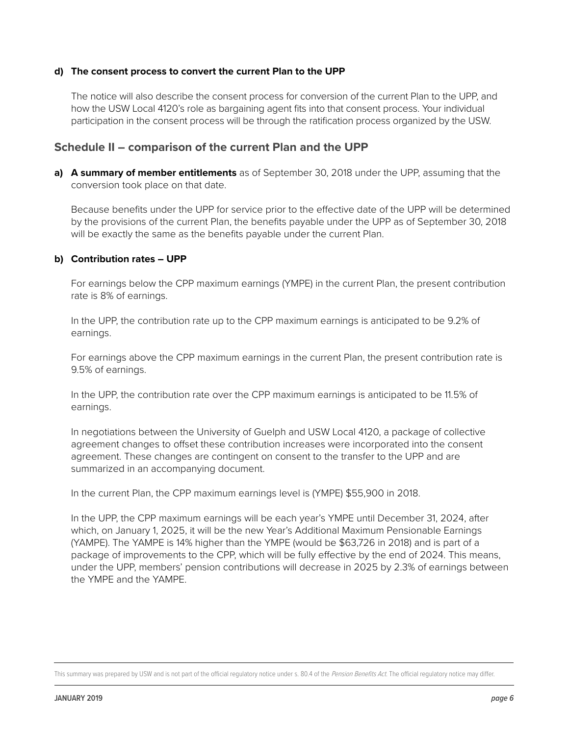#### **d) The consent process to convert the current Plan to the UPP**

The notice will also describe the consent process for conversion of the current Plan to the UPP, and how the USW Local 4120's role as bargaining agent fits into that consent process. Your individual participation in the consent process will be through the ratification process organized by the USW.

# **Schedule II – comparison of the current Plan and the UPP**

**a) A summary of member entitlements** as of September 30, 2018 under the UPP, assuming that the conversion took place on that date.

Because benefits under the UPP for service prior to the effective date of the UPP will be determined by the provisions of the current Plan, the benefits payable under the UPP as of September 30, 2018 will be exactly the same as the benefits payable under the current Plan.

#### **b) Contribution rates – UPP**

For earnings below the CPP maximum earnings (YMPE) in the current Plan, the present contribution rate is 8% of earnings.

In the UPP, the contribution rate up to the CPP maximum earnings is anticipated to be 9.2% of earnings.

For earnings above the CPP maximum earnings in the current Plan, the present contribution rate is 9.5% of earnings.

In the UPP, the contribution rate over the CPP maximum earnings is anticipated to be 11.5% of earnings.

In negotiations between the University of Guelph and USW Local 4120, a package of collective agreement changes to offset these contribution increases were incorporated into the consent agreement. These changes are contingent on consent to the transfer to the UPP and are summarized in an accompanying document.

In the current Plan, the CPP maximum earnings level is (YMPE) \$55,900 in 2018.

In the UPP, the CPP maximum earnings will be each year's YMPE until December 31, 2024, after which, on January 1, 2025, it will be the new Year's Additional Maximum Pensionable Earnings (YAMPE). The YAMPE is 14% higher than the YMPE (would be \$63,726 in 2018) and is part of a package of improvements to the CPP, which will be fully effective by the end of 2024. This means, under the UPP, members' pension contributions will decrease in 2025 by 2.3% of earnings between the YMPE and the YAMPE.

This summary was prepared by USW and is not part of the official regulatory notice under s. 80.4 of the Pension Benefits Act. The official regulatory notice may differ.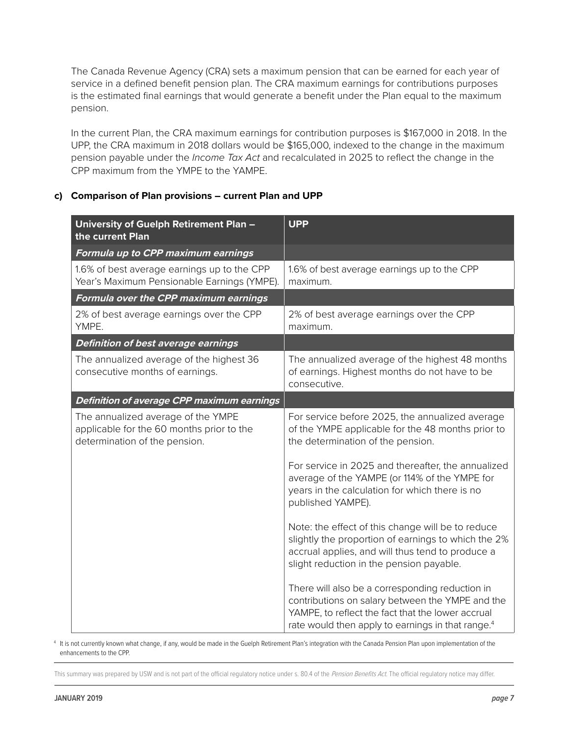The Canada Revenue Agency (CRA) sets a maximum pension that can be earned for each year of service in a defined benefit pension plan. The CRA maximum earnings for contributions purposes is the estimated final earnings that would generate a benefit under the Plan equal to the maximum pension.

In the current Plan, the CRA maximum earnings for contribution purposes is \$167,000 in 2018. In the UPP, the CRA maximum in 2018 dollars would be \$165,000, indexed to the change in the maximum pension payable under the *Income Tax Act* and recalculated in 2025 to reflect the change in the CPP maximum from the YMPE to the YAMPE.

# **c) Comparison of Plan provisions – current Plan and UPP**

| University of Guelph Retirement Plan -<br>the current Plan                                                       | <b>UPP</b>                                                                                                                                                                                                                |
|------------------------------------------------------------------------------------------------------------------|---------------------------------------------------------------------------------------------------------------------------------------------------------------------------------------------------------------------------|
| Formula up to CPP maximum earnings                                                                               |                                                                                                                                                                                                                           |
| 1.6% of best average earnings up to the CPP<br>Year's Maximum Pensionable Earnings (YMPE).                       | 1.6% of best average earnings up to the CPP<br>maximum.                                                                                                                                                                   |
| Formula over the CPP maximum earnings                                                                            |                                                                                                                                                                                                                           |
| 2% of best average earnings over the CPP<br>YMPE.                                                                | 2% of best average earnings over the CPP<br>maximum.                                                                                                                                                                      |
| <b>Definition of best average earnings</b>                                                                       |                                                                                                                                                                                                                           |
| The annualized average of the highest 36<br>consecutive months of earnings.                                      | The annualized average of the highest 48 months<br>of earnings. Highest months do not have to be<br>consecutive.                                                                                                          |
| Definition of average CPP maximum earnings                                                                       |                                                                                                                                                                                                                           |
| The annualized average of the YMPE<br>applicable for the 60 months prior to the<br>determination of the pension. | For service before 2025, the annualized average<br>of the YMPE applicable for the 48 months prior to<br>the determination of the pension.                                                                                 |
|                                                                                                                  | For service in 2025 and thereafter, the annualized<br>average of the YAMPE (or 114% of the YMPE for<br>years in the calculation for which there is no<br>published YAMPE).                                                |
|                                                                                                                  | Note: the effect of this change will be to reduce<br>slightly the proportion of earnings to which the 2%<br>accrual applies, and will thus tend to produce a<br>slight reduction in the pension payable.                  |
|                                                                                                                  | There will also be a corresponding reduction in<br>contributions on salary between the YMPE and the<br>YAMPE, to reflect the fact that the lower accrual<br>rate would then apply to earnings in that range. <sup>4</sup> |

4 It is not currently known what change, if any, would be made in the Guelph Retirement Plan's integration with the Canada Pension Plan upon implementation of the enhancements to the CPP.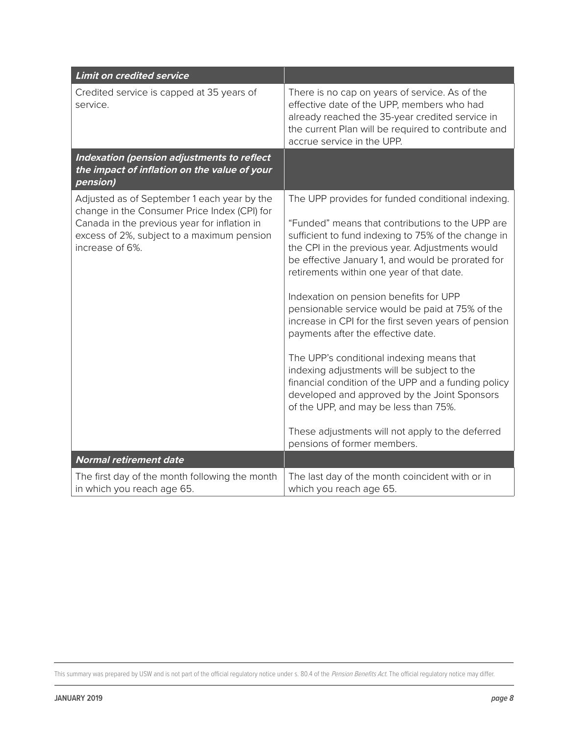| <b>Limit on credited service</b>                                                                                                                                                                             |                                                                                                                                                                                                                                                                                                                                                                                                                                                                                                                                                                                                                                                                                                                                                                                                                                             |
|--------------------------------------------------------------------------------------------------------------------------------------------------------------------------------------------------------------|---------------------------------------------------------------------------------------------------------------------------------------------------------------------------------------------------------------------------------------------------------------------------------------------------------------------------------------------------------------------------------------------------------------------------------------------------------------------------------------------------------------------------------------------------------------------------------------------------------------------------------------------------------------------------------------------------------------------------------------------------------------------------------------------------------------------------------------------|
| Credited service is capped at 35 years of<br>service.                                                                                                                                                        | There is no cap on years of service. As of the<br>effective date of the UPP, members who had<br>already reached the 35-year credited service in<br>the current Plan will be required to contribute and<br>accrue service in the UPP.                                                                                                                                                                                                                                                                                                                                                                                                                                                                                                                                                                                                        |
| Indexation (pension adjustments to reflect<br>the impact of inflation on the value of your<br>pension)                                                                                                       |                                                                                                                                                                                                                                                                                                                                                                                                                                                                                                                                                                                                                                                                                                                                                                                                                                             |
| Adjusted as of September 1 each year by the<br>change in the Consumer Price Index (CPI) for<br>Canada in the previous year for inflation in<br>excess of 2%, subject to a maximum pension<br>increase of 6%. | The UPP provides for funded conditional indexing.<br>"Funded" means that contributions to the UPP are<br>sufficient to fund indexing to 75% of the change in<br>the CPI in the previous year. Adjustments would<br>be effective January 1, and would be prorated for<br>retirements within one year of that date.<br>Indexation on pension benefits for UPP<br>pensionable service would be paid at 75% of the<br>increase in CPI for the first seven years of pension<br>payments after the effective date.<br>The UPP's conditional indexing means that<br>indexing adjustments will be subject to the<br>financial condition of the UPP and a funding policy<br>developed and approved by the Joint Sponsors<br>of the UPP, and may be less than 75%.<br>These adjustments will not apply to the deferred<br>pensions of former members. |
| <b>Normal retirement date</b>                                                                                                                                                                                |                                                                                                                                                                                                                                                                                                                                                                                                                                                                                                                                                                                                                                                                                                                                                                                                                                             |
| The first day of the month following the month<br>in which you reach age 65.                                                                                                                                 | The last day of the month coincident with or in<br>which you reach age 65.                                                                                                                                                                                                                                                                                                                                                                                                                                                                                                                                                                                                                                                                                                                                                                  |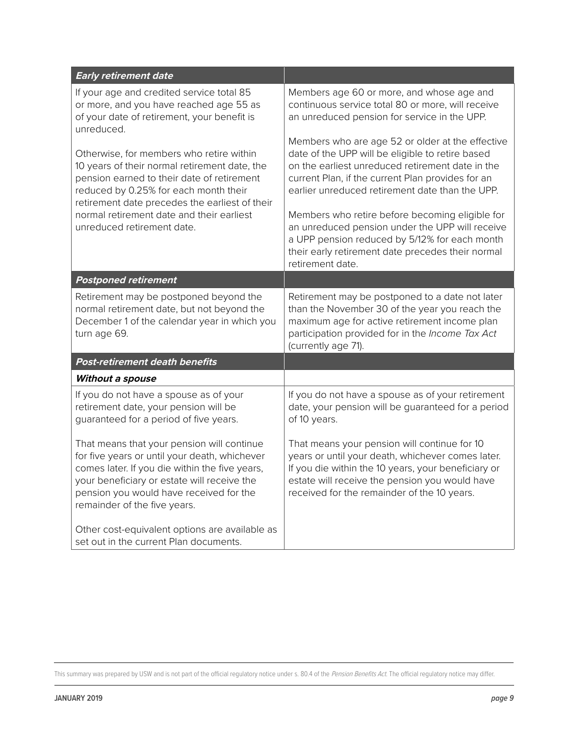| <b>Early retirement date</b>                                                                                                                                                                                                                                            |                                                                                                                                                                                                                                                                  |
|-------------------------------------------------------------------------------------------------------------------------------------------------------------------------------------------------------------------------------------------------------------------------|------------------------------------------------------------------------------------------------------------------------------------------------------------------------------------------------------------------------------------------------------------------|
| If your age and credited service total 85<br>or more, and you have reached age 55 as<br>of your date of retirement, your benefit is<br>unreduced.                                                                                                                       | Members age 60 or more, and whose age and<br>continuous service total 80 or more, will receive<br>an unreduced pension for service in the UPP.                                                                                                                   |
| Otherwise, for members who retire within<br>10 years of their normal retirement date, the<br>pension earned to their date of retirement<br>reduced by 0.25% for each month their<br>retirement date precedes the earliest of their                                      | Members who are age 52 or older at the effective<br>date of the UPP will be eligible to retire based<br>on the earliest unreduced retirement date in the<br>current Plan, if the current Plan provides for an<br>earlier unreduced retirement date than the UPP. |
| normal retirement date and their earliest<br>unreduced retirement date.                                                                                                                                                                                                 | Members who retire before becoming eligible for<br>an unreduced pension under the UPP will receive<br>a UPP pension reduced by 5/12% for each month<br>their early retirement date precedes their normal<br>retirement date.                                     |
| <b>Postponed retirement</b>                                                                                                                                                                                                                                             |                                                                                                                                                                                                                                                                  |
| Retirement may be postponed beyond the<br>normal retirement date, but not beyond the<br>December 1 of the calendar year in which you<br>turn age 69.                                                                                                                    | Retirement may be postponed to a date not later<br>than the November 30 of the year you reach the<br>maximum age for active retirement income plan<br>participation provided for in the Income Tax Act<br>(currently age 71).                                    |
| Post-retirement death benefits                                                                                                                                                                                                                                          |                                                                                                                                                                                                                                                                  |
| Without a spouse                                                                                                                                                                                                                                                        |                                                                                                                                                                                                                                                                  |
| If you do not have a spouse as of your<br>retirement date, your pension will be<br>guaranteed for a period of five years.                                                                                                                                               | If you do not have a spouse as of your retirement<br>date, your pension will be guaranteed for a period<br>of 10 years.                                                                                                                                          |
| That means that your pension will continue<br>for five years or until your death, whichever<br>comes later. If you die within the five years,<br>your beneficiary or estate will receive the<br>pension you would have received for the<br>remainder of the five years. | That means your pension will continue for 10<br>years or until your death, whichever comes later.<br>If you die within the 10 years, your beneficiary or<br>estate will receive the pension you would have<br>received for the remainder of the 10 years.        |
| Other cost-equivalent options are available as<br>set out in the current Plan documents.                                                                                                                                                                                |                                                                                                                                                                                                                                                                  |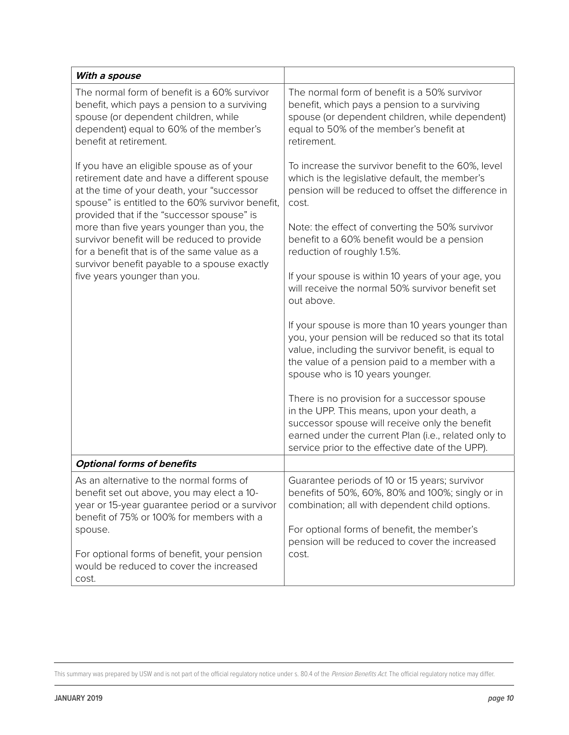| With a spouse                                                                                                                                                                                                                                                                                                                                                                                                                                                         |                                                                                                                                                                                                                                                          |
|-----------------------------------------------------------------------------------------------------------------------------------------------------------------------------------------------------------------------------------------------------------------------------------------------------------------------------------------------------------------------------------------------------------------------------------------------------------------------|----------------------------------------------------------------------------------------------------------------------------------------------------------------------------------------------------------------------------------------------------------|
| The normal form of benefit is a 60% survivor<br>benefit, which pays a pension to a surviving<br>spouse (or dependent children, while<br>dependent) equal to 60% of the member's<br>benefit at retirement.                                                                                                                                                                                                                                                             | The normal form of benefit is a 50% survivor<br>benefit, which pays a pension to a surviving<br>spouse (or dependent children, while dependent)<br>equal to 50% of the member's benefit at<br>retirement.                                                |
| If you have an eligible spouse as of your<br>retirement date and have a different spouse<br>at the time of your death, your "successor<br>spouse" is entitled to the 60% survivor benefit,<br>provided that if the "successor spouse" is<br>more than five years younger than you, the<br>survivor benefit will be reduced to provide<br>for a benefit that is of the same value as a<br>survivor benefit payable to a spouse exactly<br>five years younger than you. | To increase the survivor benefit to the 60%, level<br>which is the legislative default, the member's<br>pension will be reduced to offset the difference in<br>cost.                                                                                     |
|                                                                                                                                                                                                                                                                                                                                                                                                                                                                       | Note: the effect of converting the 50% survivor<br>benefit to a 60% benefit would be a pension<br>reduction of roughly 1.5%.                                                                                                                             |
|                                                                                                                                                                                                                                                                                                                                                                                                                                                                       | If your spouse is within 10 years of your age, you<br>will receive the normal 50% survivor benefit set<br>out above.                                                                                                                                     |
|                                                                                                                                                                                                                                                                                                                                                                                                                                                                       | If your spouse is more than 10 years younger than<br>you, your pension will be reduced so that its total<br>value, including the survivor benefit, is equal to<br>the value of a pension paid to a member with a<br>spouse who is 10 years younger.      |
|                                                                                                                                                                                                                                                                                                                                                                                                                                                                       | There is no provision for a successor spouse<br>in the UPP. This means, upon your death, a<br>successor spouse will receive only the benefit<br>earned under the current Plan (i.e., related only to<br>service prior to the effective date of the UPP). |
| <b>Optional forms of benefits</b>                                                                                                                                                                                                                                                                                                                                                                                                                                     |                                                                                                                                                                                                                                                          |
| As an alternative to the normal forms of<br>benefit set out above, you may elect a 10-<br>year or 15-year guarantee period or a survivor<br>benefit of 75% or 100% for members with a<br>spouse.                                                                                                                                                                                                                                                                      | Guarantee periods of 10 or 15 years; survivor<br>benefits of 50%, 60%, 80% and 100%; singly or in<br>combination; all with dependent child options.<br>For optional forms of benefit, the member's<br>pension will be reduced to cover the increased     |
| For optional forms of benefit, your pension<br>would be reduced to cover the increased<br>cost.                                                                                                                                                                                                                                                                                                                                                                       | cost.                                                                                                                                                                                                                                                    |

This summary was prepared by USW and is not part of the official regulatory notice under s. 80.4 of the Pension Benefits Act. The official regulatory notice may differ.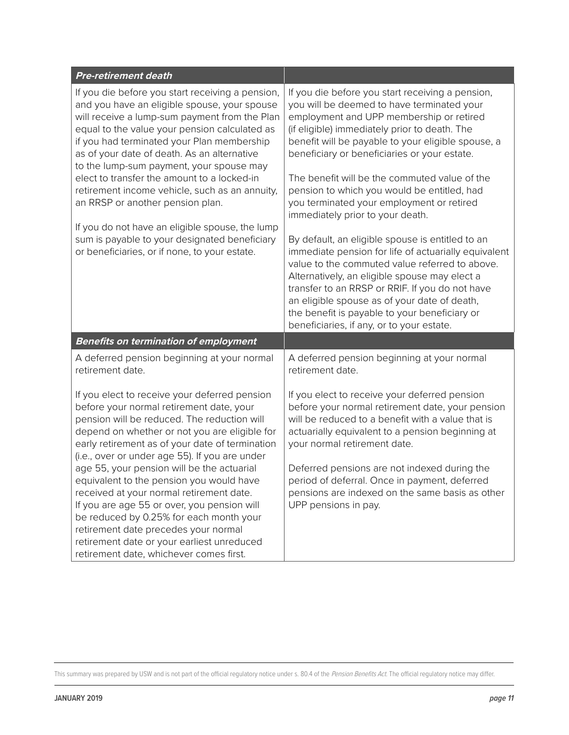| <b>Pre-retirement death</b>                                                                                                                                                                                                                                                                                                                                                                                                                                                                                                                                                          |                                                                                                                                                                                                                                                                                                                                                                                                                                                                                                                                        |
|--------------------------------------------------------------------------------------------------------------------------------------------------------------------------------------------------------------------------------------------------------------------------------------------------------------------------------------------------------------------------------------------------------------------------------------------------------------------------------------------------------------------------------------------------------------------------------------|----------------------------------------------------------------------------------------------------------------------------------------------------------------------------------------------------------------------------------------------------------------------------------------------------------------------------------------------------------------------------------------------------------------------------------------------------------------------------------------------------------------------------------------|
| If you die before you start receiving a pension,<br>and you have an eligible spouse, your spouse<br>will receive a lump-sum payment from the Plan<br>equal to the value your pension calculated as<br>if you had terminated your Plan membership<br>as of your date of death. As an alternative<br>to the lump-sum payment, your spouse may<br>elect to transfer the amount to a locked-in<br>retirement income vehicle, such as an annuity,<br>an RRSP or another pension plan.<br>If you do not have an eligible spouse, the lump<br>sum is payable to your designated beneficiary | If you die before you start receiving a pension,<br>you will be deemed to have terminated your<br>employment and UPP membership or retired<br>(if eligible) immediately prior to death. The<br>benefit will be payable to your eligible spouse, a<br>beneficiary or beneficiaries or your estate.<br>The benefit will be the commuted value of the<br>pension to which you would be entitled, had<br>you terminated your employment or retired<br>immediately prior to your death.<br>By default, an eligible spouse is entitled to an |
| or beneficiaries, or if none, to your estate.                                                                                                                                                                                                                                                                                                                                                                                                                                                                                                                                        | immediate pension for life of actuarially equivalent<br>value to the commuted value referred to above.<br>Alternatively, an eligible spouse may elect a<br>transfer to an RRSP or RRIF. If you do not have<br>an eligible spouse as of your date of death,<br>the benefit is payable to your beneficiary or<br>beneficiaries, if any, or to your estate.                                                                                                                                                                               |
| <b>Benefits on termination of employment</b>                                                                                                                                                                                                                                                                                                                                                                                                                                                                                                                                         |                                                                                                                                                                                                                                                                                                                                                                                                                                                                                                                                        |
| A deferred pension beginning at your normal<br>retirement date.                                                                                                                                                                                                                                                                                                                                                                                                                                                                                                                      | A deferred pension beginning at your normal<br>retirement date.                                                                                                                                                                                                                                                                                                                                                                                                                                                                        |
| If you elect to receive your deferred pension<br>before your normal retirement date, your<br>pension will be reduced. The reduction will<br>depend on whether or not you are eligible for<br>early retirement as of your date of termination<br>(i.e., over or under age 55). If you are under                                                                                                                                                                                                                                                                                       | If you elect to receive your deferred pension<br>before your normal retirement date, your pension<br>will be reduced to a benefit with a value that is<br>actuarially equivalent to a pension beginning at<br>your normal retirement date.                                                                                                                                                                                                                                                                                             |
| age 55, your pension will be the actuarial<br>equivalent to the pension you would have<br>received at your normal retirement date.<br>If you are age 55 or over, you pension will<br>be reduced by 0.25% for each month your<br>retirement date precedes your normal<br>retirement date or your earliest unreduced<br>retirement date, whichever comes first.                                                                                                                                                                                                                        | Deferred pensions are not indexed during the<br>period of deferral. Once in payment, deferred<br>pensions are indexed on the same basis as other<br>UPP pensions in pay.                                                                                                                                                                                                                                                                                                                                                               |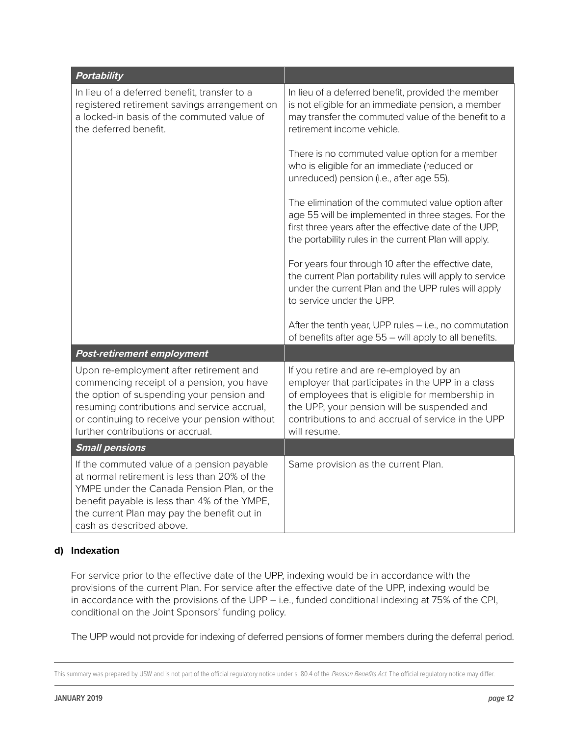| Portability                                                                                                                                                                                                                                                            |                                                                                                                                                                                                                                                                     |
|------------------------------------------------------------------------------------------------------------------------------------------------------------------------------------------------------------------------------------------------------------------------|---------------------------------------------------------------------------------------------------------------------------------------------------------------------------------------------------------------------------------------------------------------------|
| In lieu of a deferred benefit, transfer to a<br>registered retirement savings arrangement on<br>a locked-in basis of the commuted value of<br>the deferred benefit.                                                                                                    | In lieu of a deferred benefit, provided the member<br>is not eligible for an immediate pension, a member<br>may transfer the commuted value of the benefit to a<br>retirement income vehicle.                                                                       |
|                                                                                                                                                                                                                                                                        | There is no commuted value option for a member<br>who is eligible for an immediate (reduced or<br>unreduced) pension (i.e., after age 55).                                                                                                                          |
|                                                                                                                                                                                                                                                                        | The elimination of the commuted value option after<br>age 55 will be implemented in three stages. For the<br>first three years after the effective date of the UPP,<br>the portability rules in the current Plan will apply.                                        |
|                                                                                                                                                                                                                                                                        | For years four through 10 after the effective date,<br>the current Plan portability rules will apply to service<br>under the current Plan and the UPP rules will apply<br>to service under the UPP.                                                                 |
|                                                                                                                                                                                                                                                                        | After the tenth year, UPP rules - i.e., no commutation<br>of benefits after age 55 - will apply to all benefits.                                                                                                                                                    |
| <b>Post-retirement employment</b>                                                                                                                                                                                                                                      |                                                                                                                                                                                                                                                                     |
| Upon re-employment after retirement and<br>commencing receipt of a pension, you have<br>the option of suspending your pension and<br>resuming contributions and service accrual,<br>or continuing to receive your pension without<br>further contributions or accrual. | If you retire and are re-employed by an<br>employer that participates in the UPP in a class<br>of employees that is eligible for membership in<br>the UPP, your pension will be suspended and<br>contributions to and accrual of service in the UPP<br>will resume. |
| <b>Small pensions</b>                                                                                                                                                                                                                                                  |                                                                                                                                                                                                                                                                     |
| If the commuted value of a pension payable<br>at normal retirement is less than 20% of the<br>YMPE under the Canada Pension Plan, or the<br>benefit payable is less than 4% of the YMPE,<br>the current Plan may pay the benefit out in<br>cash as described above.    | Same provision as the current Plan.                                                                                                                                                                                                                                 |

# **d) Indexation**

For service prior to the effective date of the UPP, indexing would be in accordance with the provisions of the current Plan. For service after the effective date of the UPP, indexing would be in accordance with the provisions of the UPP – i.e., funded conditional indexing at 75% of the CPI, conditional on the Joint Sponsors' funding policy.

The UPP would not provide for indexing of deferred pensions of former members during the deferral period.

This summary was prepared by USW and is not part of the official regulatory notice under s. 80.4 of the Pension Benefits Act. The official regulatory notice may differ.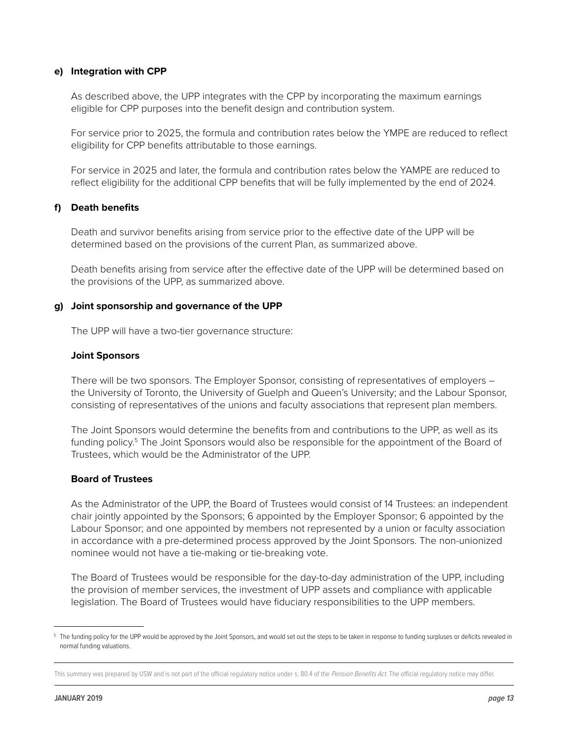#### **e) Integration with CPP**

As described above, the UPP integrates with the CPP by incorporating the maximum earnings eligible for CPP purposes into the benefit design and contribution system.

For service prior to 2025, the formula and contribution rates below the YMPE are reduced to reflect eligibility for CPP benefits attributable to those earnings.

For service in 2025 and later, the formula and contribution rates below the YAMPE are reduced to reflect eligibility for the additional CPP benefits that will be fully implemented by the end of 2024.

#### **f) Death benefits**

Death and survivor benefits arising from service prior to the effective date of the UPP will be determined based on the provisions of the current Plan, as summarized above.

Death benefits arising from service after the effective date of the UPP will be determined based on the provisions of the UPP, as summarized above.

#### **g) Joint sponsorship and governance of the UPP**

The UPP will have a two-tier governance structure:

#### **Joint Sponsors**

There will be two sponsors. The Employer Sponsor, consisting of representatives of employers – the University of Toronto, the University of Guelph and Queen's University; and the Labour Sponsor, consisting of representatives of the unions and faculty associations that represent plan members.

The Joint Sponsors would determine the benefits from and contributions to the UPP, as well as its funding policy.<sup>5</sup> The Joint Sponsors would also be responsible for the appointment of the Board of Trustees, which would be the Administrator of the UPP.

#### **Board of Trustees**

As the Administrator of the UPP, the Board of Trustees would consist of 14 Trustees: an independent chair jointly appointed by the Sponsors; 6 appointed by the Employer Sponsor; 6 appointed by the Labour Sponsor; and one appointed by members not represented by a union or faculty association in accordance with a pre-determined process approved by the Joint Sponsors. The non-unionized nominee would not have a tie-making or tie-breaking vote.

The Board of Trustees would be responsible for the day-to-day administration of the UPP, including the provision of member services, the investment of UPP assets and compliance with applicable legislation. The Board of Trustees would have fiduciary responsibilities to the UPP members.

<sup>&</sup>lt;sup>5</sup> The funding policy for the UPP would be approved by the Joint Sponsors, and would set out the steps to be taken in response to funding surpluses or deficits revealed in normal funding valuations.

This summary was prepared by USW and is not part of the official regulatory notice under s. 80.4 of the Pension Benefits Act. The official regulatory notice may differ.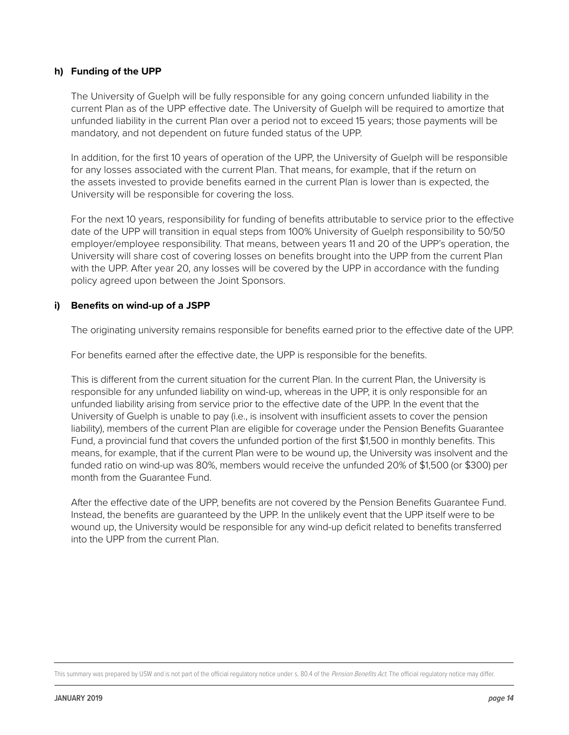# **h) Funding of the UPP**

The University of Guelph will be fully responsible for any going concern unfunded liability in the current Plan as of the UPP effective date. The University of Guelph will be required to amortize that unfunded liability in the current Plan over a period not to exceed 15 years; those payments will be mandatory, and not dependent on future funded status of the UPP.

In addition, for the first 10 years of operation of the UPP, the University of Guelph will be responsible for any losses associated with the current Plan. That means, for example, that if the return on the assets invested to provide benefits earned in the current Plan is lower than is expected, the University will be responsible for covering the loss.

For the next 10 years, responsibility for funding of benefits attributable to service prior to the effective date of the UPP will transition in equal steps from 100% University of Guelph responsibility to 50/50 employer/employee responsibility. That means, between years 11 and 20 of the UPP's operation, the University will share cost of covering losses on benefits brought into the UPP from the current Plan with the UPP. After year 20, any losses will be covered by the UPP in accordance with the funding policy agreed upon between the Joint Sponsors.

#### **i) Benefits on wind-up of a JSPP**

The originating university remains responsible for benefits earned prior to the effective date of the UPP.

For benefits earned after the effective date, the UPP is responsible for the benefits.

This is different from the current situation for the current Plan. In the current Plan, the University is responsible for any unfunded liability on wind-up, whereas in the UPP, it is only responsible for an unfunded liability arising from service prior to the effective date of the UPP. In the event that the University of Guelph is unable to pay (i.e., is insolvent with insufficient assets to cover the pension liability), members of the current Plan are eligible for coverage under the Pension Benefits Guarantee Fund, a provincial fund that covers the unfunded portion of the first \$1,500 in monthly benefits. This means, for example, that if the current Plan were to be wound up, the University was insolvent and the funded ratio on wind-up was 80%, members would receive the unfunded 20% of \$1,500 (or \$300) per month from the Guarantee Fund.

After the effective date of the UPP, benefits are not covered by the Pension Benefits Guarantee Fund. Instead, the benefits are guaranteed by the UPP. In the unlikely event that the UPP itself were to be wound up, the University would be responsible for any wind-up deficit related to benefits transferred into the UPP from the current Plan.

This summary was prepared by USW and is not part of the official regulatory notice under s. 80.4 of the Pension Benefits Act. The official regulatory notice may differ.